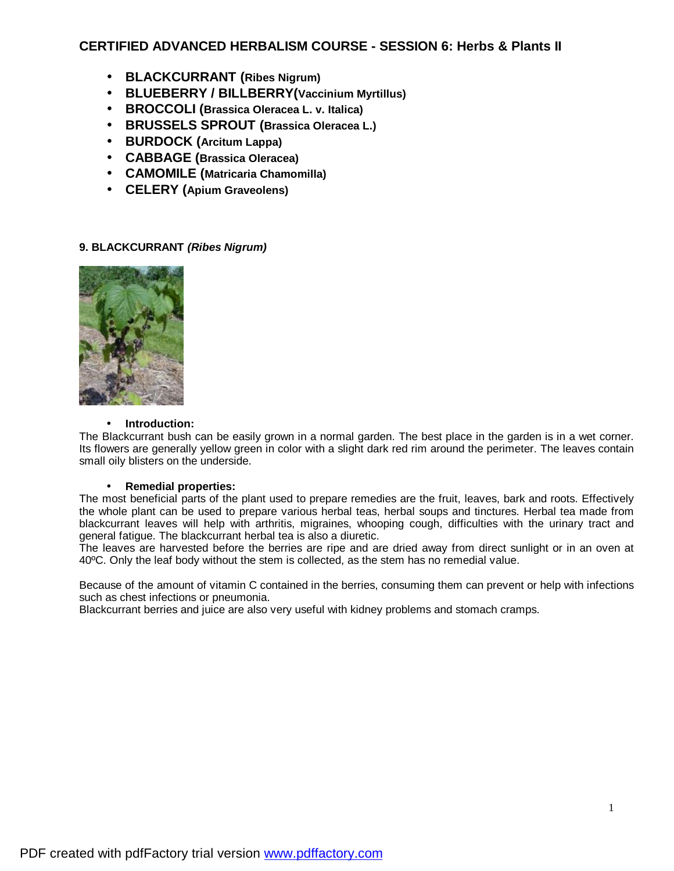# **CERTIFIED ADVANCED HERBALISM COURSE - SESSION 6: Herbs & Plants II**

- **BLACKCURRANT (Ribes Nigrum)**
- **BLUEBERRY / BILLBERRY(Vaccinium Myrtillus)**
- **BROCCOLI (Brassica Oleracea L. v. Italica)**
- **BRUSSELS SPROUT (Brassica Oleracea L.)**
- **BURDOCK (Arcitum Lappa)**
- **CABBAGE (Brassica Oleracea)**
- **CAMOMILE (Matricaria Chamomilla)**
- **CELERY (Apium Graveolens)**

# **9. BLACKCURRANT** *(Ribes Nigrum)*



## • **Introduction:**

The Blackcurrant bush can be easily grown in a normal garden. The best place in the garden is in a wet corner. Its flowers are generally yellow green in color with a slight dark red rim around the perimeter. The leaves contain small oily blisters on the underside.

# • **Remedial properties:**

The most beneficial parts of the plant used to prepare remedies are the fruit, leaves, bark and roots. Effectively the whole plant can be used to prepare various herbal teas, herbal soups and tinctures. Herbal tea made from blackcurrant leaves will help with arthritis, migraines, whooping cough, difficulties with the urinary tract and general fatigue. The blackcurrant herbal tea is also a diuretic.

The leaves are harvested before the berries are ripe and are dried away from direct sunlight or in an oven at 40ºC. Only the leaf body without the stem is collected, as the stem has no remedial value.

Because of the amount of vitamin C contained in the berries, consuming them can prevent or help with infections such as chest infections or pneumonia.

Blackcurrant berries and juice are also very useful with kidney problems and stomach cramps.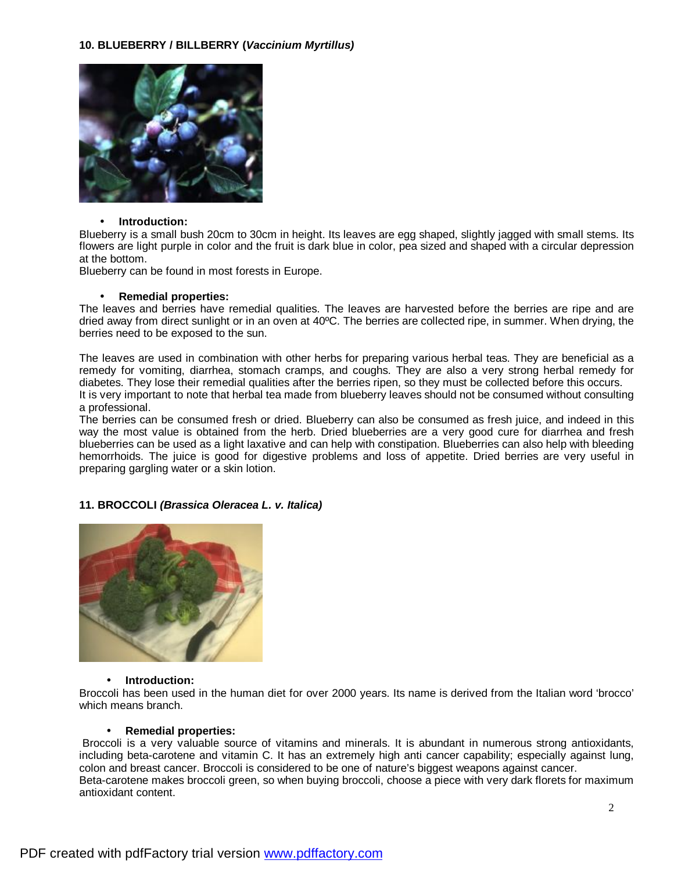

### • **Introduction:**

Blueberry is a small bush 20cm to 30cm in height. Its leaves are egg shaped, slightly jagged with small stems. Its flowers are light purple in color and the fruit is dark blue in color, pea sized and shaped with a circular depression at the bottom.

Blueberry can be found in most forests in Europe.

### • **Remedial properties:**

The leaves and berries have remedial qualities. The leaves are harvested before the berries are ripe and are dried away from direct sunlight or in an oven at 40ºC. The berries are collected ripe, in summer. When drying, the berries need to be exposed to the sun.

The leaves are used in combination with other herbs for preparing various herbal teas. They are beneficial as a remedy for vomiting, diarrhea, stomach cramps, and coughs. They are also a very strong herbal remedy for diabetes. They lose their remedial qualities after the berries ripen, so they must be collected before this occurs. It is very important to note that herbal tea made from blueberry leaves should not be consumed without consulting a professional.

The berries can be consumed fresh or dried. Blueberry can also be consumed as fresh juice, and indeed in this way the most value is obtained from the herb. Dried blueberries are a very good cure for diarrhea and fresh blueberries can be used as a light laxative and can help with constipation. Blueberries can also help with bleeding hemorrhoids. The juice is good for digestive problems and loss of appetite. Dried berries are very useful in preparing gargling water or a skin lotion.

## **11. BROCCOLI** *(Brassica Oleracea L. v. Italica)*



## • **Introduction:**

Broccoli has been used in the human diet for over 2000 years. Its name is derived from the Italian word 'brocco' which means branch.

### • **Remedial properties:**

Broccoli is a very valuable source of vitamins and minerals. It is abundant in numerous strong antioxidants, including beta-carotene and vitamin C. It has an extremely high anti cancer capability; especially against lung, colon and breast cancer. Broccoli is considered to be one of nature's biggest weapons against cancer. Beta-carotene makes broccoli green, so when buying broccoli, choose a piece with very dark florets for maximum antioxidant content.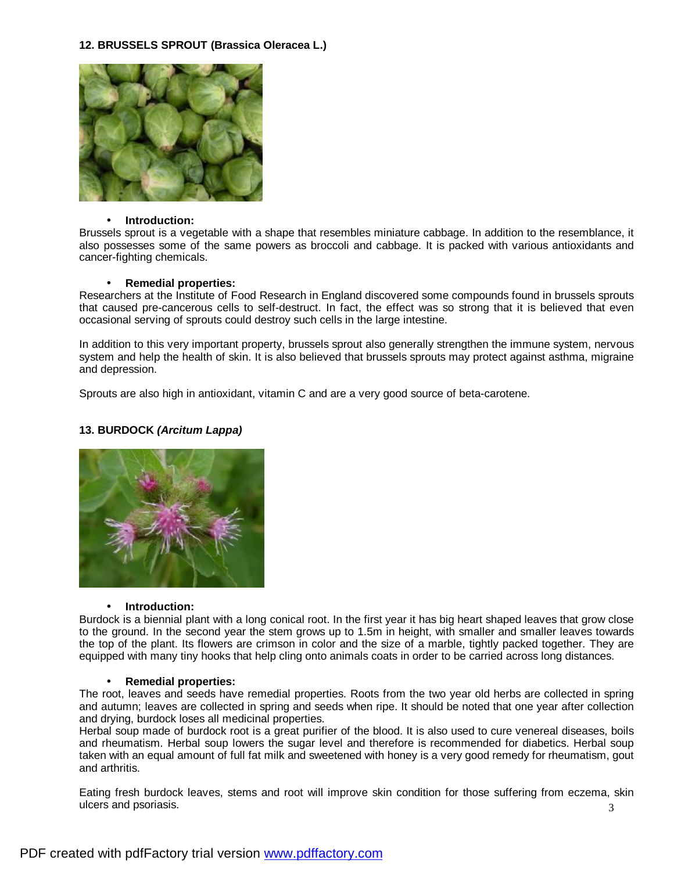## **12. BRUSSELS SPROUT (Brassica Oleracea L.)**



### • **Introduction:**

Brussels sprout is a vegetable with a shape that resembles miniature cabbage. In addition to the resemblance, it also possesses some of the same powers as broccoli and cabbage. It is packed with various antioxidants and cancer-fighting chemicals.

### • **Remedial properties:**

Researchers at the Institute of Food Research in England discovered some compounds found in brussels sprouts that caused pre-cancerous cells to self-destruct. In fact, the effect was so strong that it is believed that even occasional serving of sprouts could destroy such cells in the large intestine.

In addition to this very important property, brussels sprout also generally strengthen the immune system, nervous system and help the health of skin. It is also believed that brussels sprouts may protect against asthma, migraine and depression.

Sprouts are also high in antioxidant, vitamin C and are a very good source of beta-carotene.

## **13. BURDOCK** *(Arcitum Lappa)*



## • **Introduction:**

Burdock is a biennial plant with a long conical root. In the first year it has big heart shaped leaves that grow close to the ground. In the second year the stem grows up to 1.5m in height, with smaller and smaller leaves towards the top of the plant. Its flowers are crimson in color and the size of a marble, tightly packed together. They are equipped with many tiny hooks that help cling onto animals coats in order to be carried across long distances.

#### • **Remedial properties:**

The root, leaves and seeds have remedial properties. Roots from the two year old herbs are collected in spring and autumn; leaves are collected in spring and seeds when ripe. It should be noted that one year after collection and drying, burdock loses all medicinal properties.

Herbal soup made of burdock root is a great purifier of the blood. It is also used to cure venereal diseases, boils and rheumatism. Herbal soup lowers the sugar level and therefore is recommended for diabetics. Herbal soup taken with an equal amount of full fat milk and sweetened with honey is a very good remedy for rheumatism, gout and arthritis.

3 Eating fresh burdock leaves, stems and root will improve skin condition for those suffering from eczema, skin ulcers and psoriasis.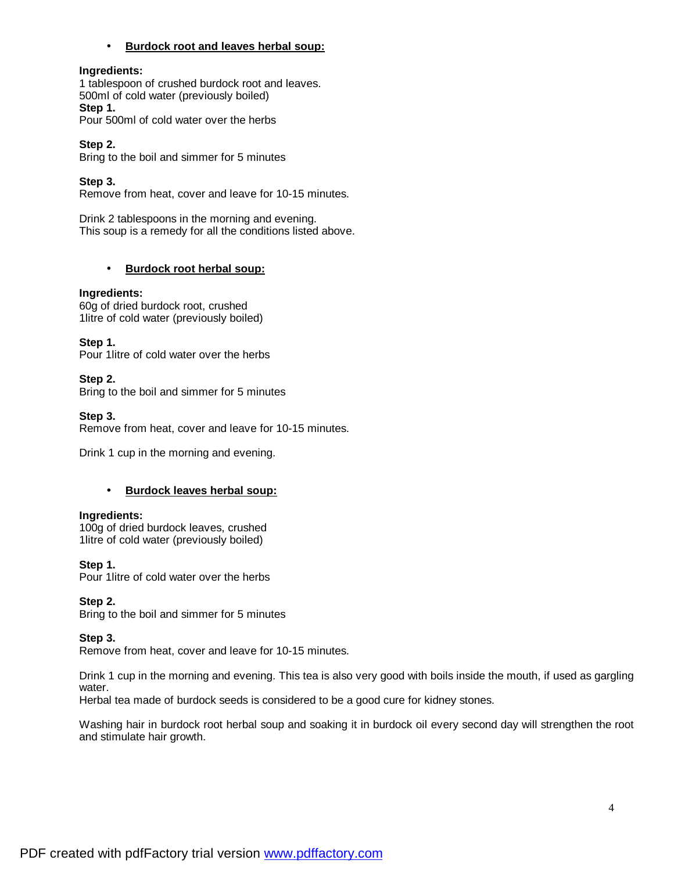## • **Burdock root and leaves herbal soup:**

## **Ingredients:**

1 tablespoon of crushed burdock root and leaves. 500ml of cold water (previously boiled) **Step 1.**  Pour 500ml of cold water over the herbs

**Step 2.**  Bring to the boil and simmer for 5 minutes

# **Step 3.**

Remove from heat, cover and leave for 10-15 minutes.

Drink 2 tablespoons in the morning and evening. This soup is a remedy for all the conditions listed above.

## • **Burdock root herbal soup:**

## **Ingredients:**

60g of dried burdock root, crushed 1litre of cold water (previously boiled)

**Step 1.** 

Pour 1litre of cold water over the herbs

## **Step 2.**

Bring to the boil and simmer for 5 minutes

## **Step 3.**

Remove from heat, cover and leave for 10-15 minutes.

Drink 1 cup in the morning and evening.

## • **Burdock leaves herbal soup:**

## **Ingredients:**

100g of dried burdock leaves, crushed 1litre of cold water (previously boiled)

## **Step 1.**

Pour 1litre of cold water over the herbs

## **Step 2.**

Bring to the boil and simmer for 5 minutes

## **Step 3.**

Remove from heat, cover and leave for 10-15 minutes.

Drink 1 cup in the morning and evening. This tea is also very good with boils inside the mouth, if used as gargling water.

Herbal tea made of burdock seeds is considered to be a good cure for kidney stones.

Washing hair in burdock root herbal soup and soaking it in burdock oil every second day will strengthen the root and stimulate hair growth.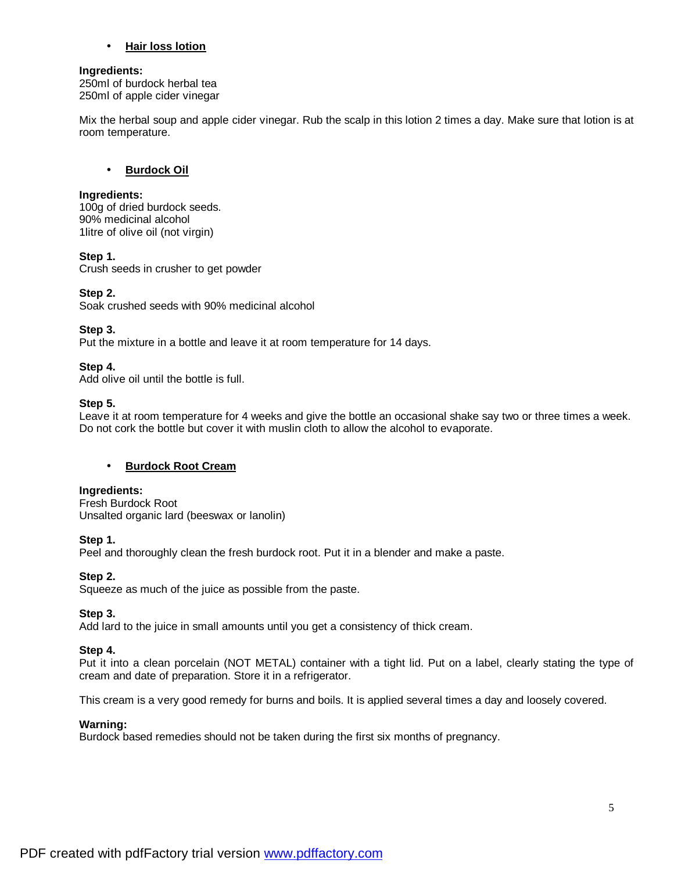## • **Hair loss lotion**

### **Ingredients:**

250ml of burdock herbal tea 250ml of apple cider vinegar

Mix the herbal soup and apple cider vinegar. Rub the scalp in this lotion 2 times a day. Make sure that lotion is at room temperature.

## • **Burdock Oil**

## **Ingredients:**

100g of dried burdock seeds. 90% medicinal alcohol 1litre of olive oil (not virgin)

## **Step 1.**

Crush seeds in crusher to get powder

## **Step 2.**

Soak crushed seeds with 90% medicinal alcohol

## **Step 3.**

Put the mixture in a bottle and leave it at room temperature for 14 days.

## **Step 4.**

Add olive oil until the bottle is full.

## **Step 5.**

Leave it at room temperature for 4 weeks and give the bottle an occasional shake say two or three times a week. Do not cork the bottle but cover it with muslin cloth to allow the alcohol to evaporate.

# • **Burdock Root Cream**

## **Ingredients:**

Fresh Burdock Root Unsalted organic lard (beeswax or lanolin)

## **Step 1.**

Peel and thoroughly clean the fresh burdock root. Put it in a blender and make a paste.

# **Step 2.**

Squeeze as much of the juice as possible from the paste.

# **Step 3.**

Add lard to the juice in small amounts until you get a consistency of thick cream.

## **Step 4.**

Put it into a clean porcelain (NOT METAL) container with a tight lid. Put on a label, clearly stating the type of cream and date of preparation. Store it in a refrigerator.

This cream is a very good remedy for burns and boils. It is applied several times a day and loosely covered.

## **Warning:**

Burdock based remedies should not be taken during the first six months of pregnancy.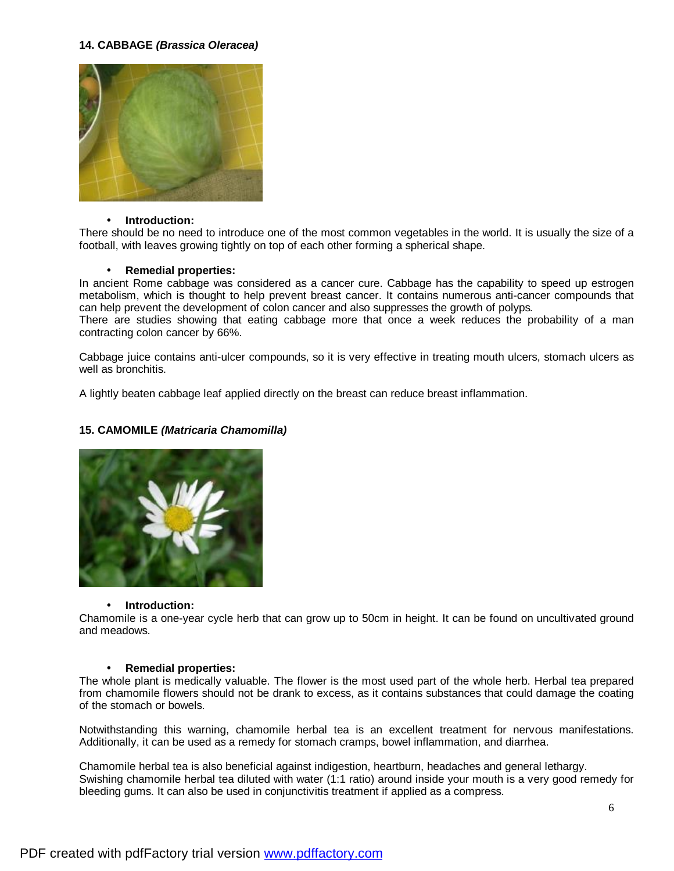## **14. CABBAGE** *(Brassica Oleracea)*



#### • **Introduction:**

There should be no need to introduce one of the most common vegetables in the world. It is usually the size of a football, with leaves growing tightly on top of each other forming a spherical shape.

### • **Remedial properties:**

In ancient Rome cabbage was considered as a cancer cure. Cabbage has the capability to speed up estrogen metabolism, which is thought to help prevent breast cancer. It contains numerous anti-cancer compounds that can help prevent the development of colon cancer and also suppresses the growth of polyps*.*

There are studies showing that eating cabbage more that once a week reduces the probability of a man contracting colon cancer by 66%.

Cabbage juice contains anti-ulcer compounds, so it is very effective in treating mouth ulcers, stomach ulcers as well as bronchitis.

A lightly beaten cabbage leaf applied directly on the breast can reduce breast inflammation.

## **15. CAMOMILE** *(Matricaria Chamomilla)*



#### • **Introduction:**

Chamomile is a one-year cycle herb that can grow up to 50cm in height. It can be found on uncultivated ground and meadows.

#### • **Remedial properties:**

The whole plant is medically valuable. The flower is the most used part of the whole herb. Herbal tea prepared from chamomile flowers should not be drank to excess, as it contains substances that could damage the coating of the stomach or bowels.

Notwithstanding this warning, chamomile herbal tea is an excellent treatment for nervous manifestations. Additionally, it can be used as a remedy for stomach cramps, bowel inflammation, and diarrhea.

Chamomile herbal tea is also beneficial against indigestion, heartburn, headaches and general lethargy. Swishing chamomile herbal tea diluted with water (1:1 ratio) around inside your mouth is a very good remedy for bleeding gums. It can also be used in conjunctivitis treatment if applied as a compress.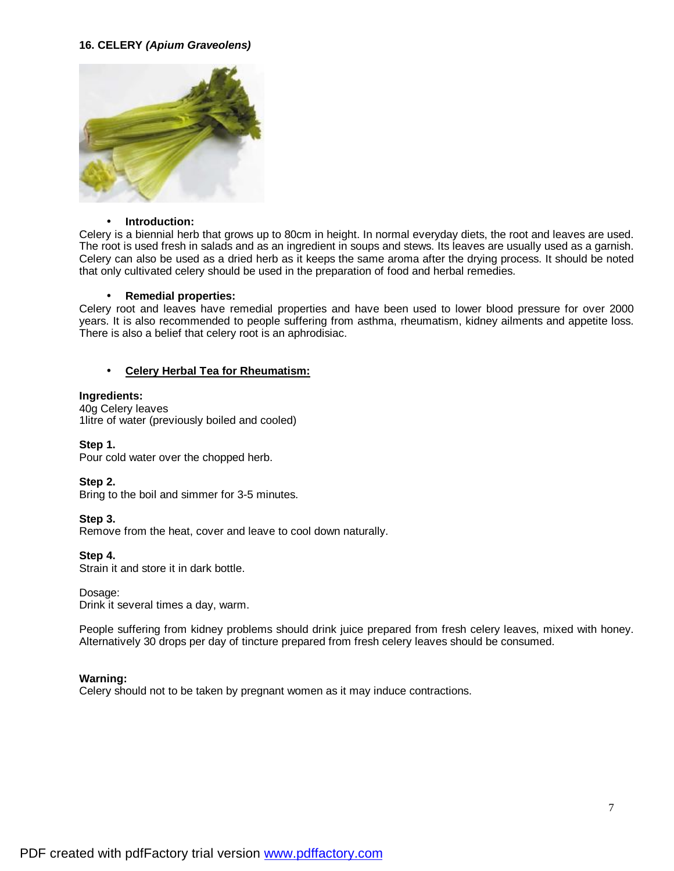# **16. CELERY** *(Apium Graveolens)*



#### • **Introduction:**

Celery is a biennial herb that grows up to 80cm in height. In normal everyday diets, the root and leaves are used. The root is used fresh in salads and as an ingredient in soups and stews. Its leaves are usually used as a garnish. Celery can also be used as a dried herb as it keeps the same aroma after the drying process. It should be noted that only cultivated celery should be used in the preparation of food and herbal remedies.

### • **Remedial properties:**

Celery root and leaves have remedial properties and have been used to lower blood pressure for over 2000 years. It is also recommended to people suffering from asthma, rheumatism, kidney ailments and appetite loss. There is also a belief that celery root is an aphrodisiac.

## • **Celery Herbal Tea for Rheumatism:**

### **Ingredients:**

40g Celery leaves 1litre of water (previously boiled and cooled)

## **Step 1.**

Pour cold water over the chopped herb.

#### **Step 2.**

Bring to the boil and simmer for 3-5 minutes.

## **Step 3.**

Remove from the heat, cover and leave to cool down naturally.

## **Step 4.**

Strain it and store it in dark bottle.

#### Dosage:

Drink it several times a day, warm.

People suffering from kidney problems should drink juice prepared from fresh celery leaves, mixed with honey. Alternatively 30 drops per day of tincture prepared from fresh celery leaves should be consumed.

## **Warning:**

Celery should not to be taken by pregnant women as it may induce contractions.